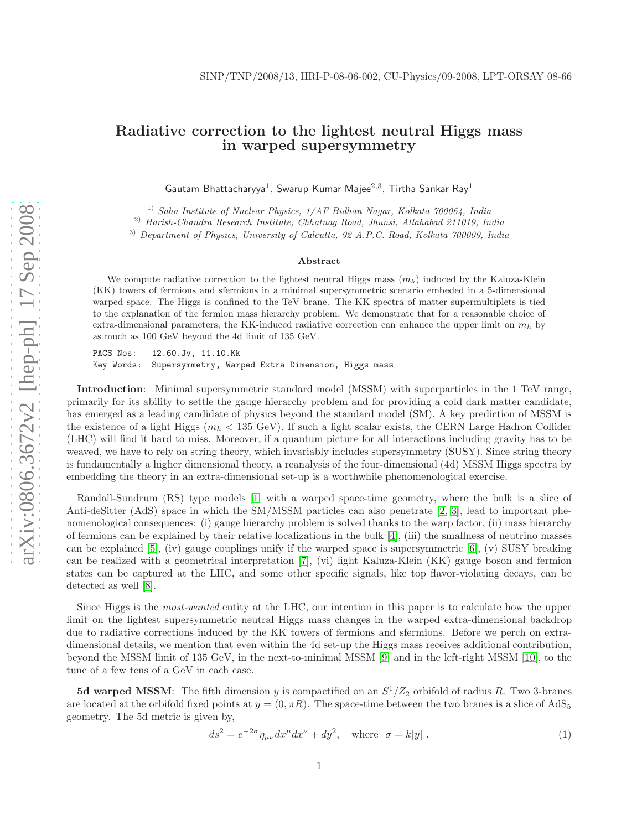## Radiative correction to the lightest neutral Higgs mass in warped supersymmetry

Gautam Bhattacharyya<sup>1</sup>, Swarup Kumar Majee<sup>2,3</sup>, Tirtha Sankar Ray<sup>1</sup>

<sup>1)</sup> Saha Institute of Nuclear Physics,  $1/AF$  Bidhan Nagar, Kolkata 700064, India

2) Harish-Chandra Research Institute, Chhatnag Road, Jhunsi, Allahabad 211019, India

3) Department of Physics, University of Calcutta, 92 A.P.C. Road, Kolkata 700009, India

## Abstract

We compute radiative correction to the lightest neutral Higgs mass  $(m_h)$  induced by the Kaluza-Klein (KK) towers of fermions and sfermions in a minimal supersymmetric scenario embeded in a 5-dimensional warped space. The Higgs is confined to the TeV brane. The KK spectra of matter supermultiplets is tied to the explanation of the fermion mass hierarchy problem. We demonstrate that for a reasonable choice of extra-dimensional parameters, the KK-induced radiative correction can enhance the upper limit on  $m_h$  by as much as 100 GeV beyond the 4d limit of 135 GeV.

PACS Nos: 12.60.Jv, 11.10.Kk Key Words: Supersymmetry, Warped Extra Dimension, Higgs mass

Introduction: Minimal supersymmetric standard model (MSSM) with superparticles in the 1 TeV range, primarily for its ability to settle the gauge hierarchy problem and for providing a cold dark matter candidate, has emerged as a leading candidate of physics beyond the standard model (SM). A key prediction of MSSM is the existence of a light Higgs ( $m_h < 135$  GeV). If such a light scalar exists, the CERN Large Hadron Collider (LHC) will find it hard to miss. Moreover, if a quantum picture for all interactions including gravity has to be weaved, we have to rely on string theory, which invariably includes supersymmetry (SUSY). Since string theory is fundamentally a higher dimensional theory, a reanalysis of the four-dimensional (4d) MSSM Higgs spectra by embedding the theory in an extra-dimensional set-up is a worthwhile phenomenological exercise.

Randall-Sundrum (RS) type models [\[1\]](#page-4-0) with a warped space-time geometry, where the bulk is a slice of Anti-deSitter (AdS) space in which the SM/MSSM particles can also penetrate [\[2,](#page-5-0) [3\]](#page-5-1), lead to important phenomenological consequences: (i) gauge hierarchy problem is solved thanks to the warp factor, (ii) mass hierarchy of fermions can be explained by their relative localizations in the bulk [\[4\]](#page-5-2), (iii) the smallness of neutrino masses can be explained [\[5\]](#page-5-3), (iv) gauge couplings unify if the warped space is supersymmetric [\[6\]](#page-5-4), (v) SUSY breaking can be realized with a geometrical interpretation [\[7\]](#page-5-5), (vi) light Kaluza-Klein (KK) gauge boson and fermion states can be captured at the LHC, and some other specific signals, like top flavor-violating decays, can be detected as well [\[8\]](#page-5-6).

Since Higgs is the most-wanted entity at the LHC, our intention in this paper is to calculate how the upper limit on the lightest supersymmetric neutral Higgs mass changes in the warped extra-dimensional backdrop due to radiative corrections induced by the KK towers of fermions and sfermions. Before we perch on extradimensional details, we mention that even within the 4d set-up the Higgs mass receives additional contribution, beyond the MSSM limit of 135 GeV, in the next-to-minimal MSSM [\[9\]](#page-5-7) and in the left-right MSSM [\[10\]](#page-5-8), to the tune of a few tens of a GeV in cach case.

**5d warped MSSM**: The fifth dimension y is compactified on an  $S^1/Z_2$  orbifold of radius R. Two 3-branes are located at the orbifold fixed points at  $y = (0, \pi R)$ . The space-time between the two branes is a slice of AdS<sub>5</sub> geometry. The 5d metric is given by,

$$
ds^{2} = e^{-2\sigma} \eta_{\mu\nu} dx^{\mu} dx^{\nu} + dy^{2}, \quad \text{where} \quad \sigma = k|y| \tag{1}
$$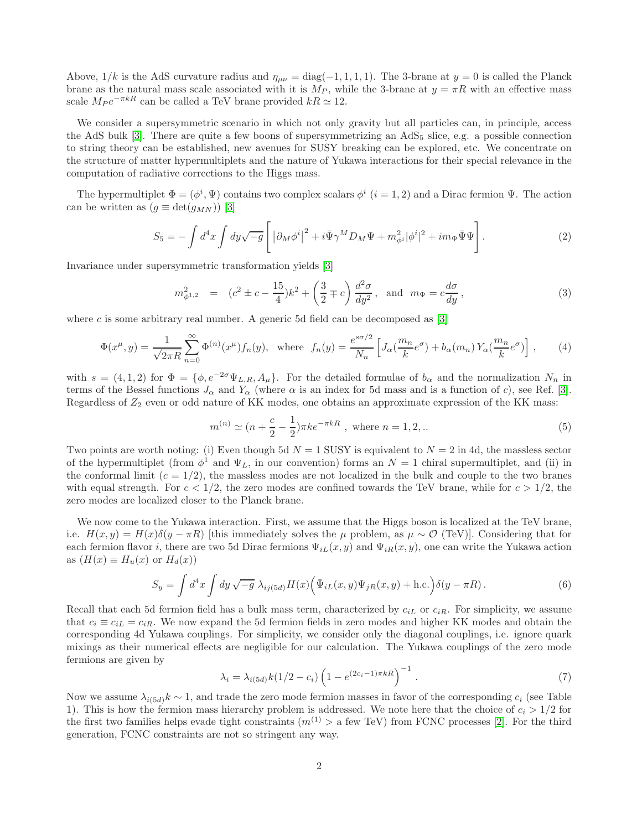Above,  $1/k$  is the AdS curvature radius and  $\eta_{\mu\nu} = \text{diag}(-1, 1, 1, 1)$ . The 3-brane at  $y = 0$  is called the Planck brane as the natural mass scale associated with it is  $M_P$ , while the 3-brane at  $y = \pi R$  with an effective mass scale  $M_P e^{-\pi kR}$  can be called a TeV brane provided  $kR \simeq 12$ .

We consider a supersymmetric scenario in which not only gravity but all particles can, in principle, access the AdS bulk  $[3]$ . There are quite a few boons of supersymmetrizing an AdS<sub>5</sub> slice, e.g. a possible connection to string theory can be established, new avenues for SUSY breaking can be explored, etc. We concentrate on the structure of matter hypermultiplets and the nature of Yukawa interactions for their special relevance in the computation of radiative corrections to the Higgs mass.

The hypermultiplet  $\Phi = (\phi^i, \Psi)$  contains two complex scalars  $\phi^i$   $(i = 1, 2)$  and a Dirac fermion  $\Psi$ . The action can be written as  $(g \equiv det(g_{MN}))$  [\[3\]](#page-5-1)

$$
S_5 = -\int d^4x \int dy \sqrt{-g} \left[ \left| \partial_M \phi^i \right|^2 + i \bar{\Psi} \gamma^M D_M \Psi + m_{\phi^i}^2 |\phi^i|^2 + im_\Psi \bar{\Psi} \Psi \right]. \tag{2}
$$

Invariance under supersymmetric transformation yields [\[3\]](#page-5-1)

$$
m_{\phi^{1,2}}^2 = (c^2 \pm c - \frac{15}{4})k^2 + \left(\frac{3}{2} \mp c\right)\frac{d^2\sigma}{dy^2}, \text{ and } m_\Psi = c\frac{d\sigma}{dy},\tag{3}
$$

where c is some arbitrary real number. A generic 5d field can be decomposed as  $[3]$ 

<span id="page-1-0"></span>
$$
\Phi(x^{\mu}, y) = \frac{1}{\sqrt{2\pi R}} \sum_{n=0}^{\infty} \Phi^{(n)}(x^{\mu}) f_n(y), \text{ where } f_n(y) = \frac{e^{s\sigma/2}}{N_n} \left[ J_\alpha\left(\frac{m_n}{k} e^{\sigma}\right) + b_\alpha(m_n) Y_\alpha\left(\frac{m_n}{k} e^{\sigma}\right) \right], \tag{4}
$$

with  $s = (4, 1, 2)$  for  $\Phi = \{\phi, e^{-2\sigma} \Psi_{L,R}, A_{\mu}\}\.$  For the detailed formulae of  $b_{\alpha}$  and the normalization  $N_n$  in terms of the Bessel functions  $J_{\alpha}$  and  $Y_{\alpha}$  (where  $\alpha$  is an index for 5d mass and is a function of c), see Ref. [\[3\]](#page-5-1). Regardless of  $Z_2$  even or odd nature of KK modes, one obtains an approximate expression of the KK mass:

$$
m^{(n)} \simeq (n + \frac{c}{2} - \frac{1}{2})\pi k e^{-\pi kR}, \text{ where } n = 1, 2, ...
$$
 (5)

Two points are worth noting: (i) Even though 5d  $N = 1$  SUSY is equivalent to  $N = 2$  in 4d, the massless sector of the hypermultiplet (from  $\phi^1$  and  $\Psi_L$ , in our convention) forms an  $N=1$  chiral supermultiplet, and (ii) in the conformal limit  $(c = 1/2)$ , the massless modes are not localized in the bulk and couple to the two branes with equal strength. For  $c < 1/2$ , the zero modes are confined towards the TeV brane, while for  $c > 1/2$ , the zero modes are localized closer to the Planck brane.

We now come to the Yukawa interaction. First, we assume that the Higgs boson is localized at the TeV brane, i.e.  $H(x, y) = H(x)\delta(y - \pi R)$  [this immediately solves the  $\mu$  problem, as  $\mu \sim \mathcal{O}$  (TeV)]. Considering that for each fermion flavor i, there are two 5d Dirac fermions  $\Psi_{iL}(x, y)$  and  $\Psi_{iR}(x, y)$ , one can write the Yukawa action as  $(H(x) \equiv H_u(x)$  or  $H_d(x))$ 

<span id="page-1-1"></span>
$$
S_y = \int d^4x \int dy \sqrt{-g} \,\lambda_{ij(5d)} H(x) \Big(\bar{\Psi}_{iL}(x,y)\Psi_{jR}(x,y) + \text{h.c.}\Big)\delta(y-\pi R). \tag{6}
$$

Recall that each 5d fermion field has a bulk mass term, characterized by  $c_{iL}$  or  $c_{iR}$ . For simplicity, we assume that  $c_i \equiv c_{iL} = c_{iR}$ . We now expand the 5d fermion fields in zero modes and higher KK modes and obtain the corresponding 4d Yukawa couplings. For simplicity, we consider only the diagonal couplings, i.e. ignore quark mixings as their numerical effects are negligible for our calculation. The Yukawa couplings of the zero mode fermions are given by

$$
\lambda_i = \lambda_{i(5d)} k (1/2 - c_i) \left( 1 - e^{(2c_i - 1)\pi k R} \right)^{-1} . \tag{7}
$$

Now we assume  $\lambda_{i(5d)}k \sim 1$ , and trade the zero mode fermion masses in favor of the corresponding  $c_i$  (see Table 1). This is how the fermion mass hierarchy problem is addressed. We note here that the choice of  $c_i > 1/2$  for the first two families helps evade tight constraints  $(m^{(1)} > a$  few TeV) from FCNC processes [\[2\]](#page-5-0). For the third generation, FCNC constraints are not so stringent any way.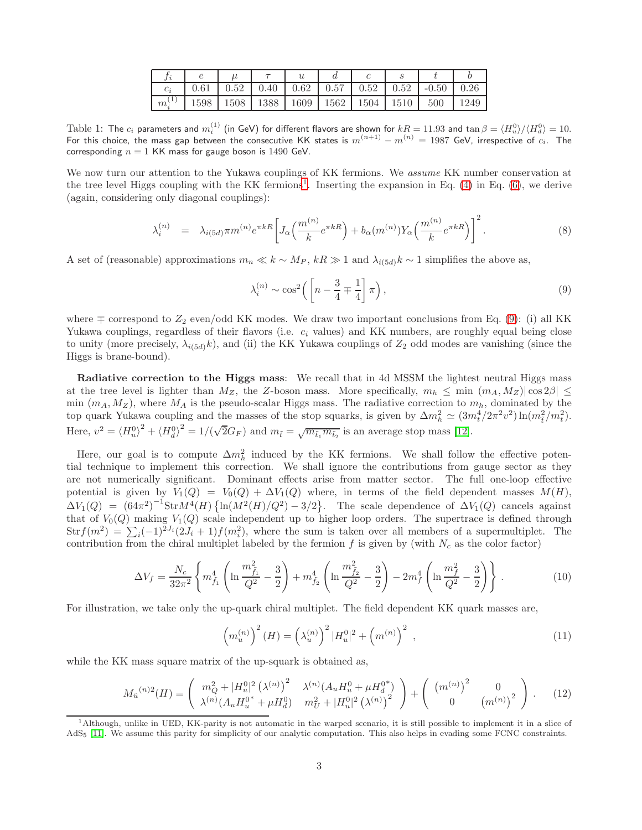|       |      |      |      | U    |      |      |      |         |  |
|-------|------|------|------|------|------|------|------|---------|--|
| $c_i$ | 0.61 | 0.52 | 0.40 | 0.62 | 0.57 | 0.52 | 0.52 | $-0.50$ |  |
| $m_i$ | 1598 | 1508 | 1388 | 1609 | 1562 | 1504 | 1510 | 500     |  |

Table 1: The  $c_i$  parameters and  $m_i^{(1)}$  (in GeV) for different flavors are shown for  $kR = 11.93$  and  $\tan \beta = \langle H_u^0 \rangle / \langle H_d^0 \rangle = 10.5$ For this choice, the mass gap between the consecutive KK states is  $m^{(n+1)} - m^{(n)} = 1987$  GeV, irrespective of  $c_i$ . The corresponding  $n = 1$  KK mass for gauge boson is 1490 GeV.

We now turn our attention to the Yukawa couplings of KK fermions. We assume KK number conservation at the tree level Higgs coupling with the KK fermions<sup>[1](#page-2-0)</sup>. Inserting the expansion in Eq. [\(4\)](#page-1-0) in Eq. [\(6\)](#page-1-1), we derive (again, considering only diagonal couplings):

$$
\lambda_i^{(n)} = \lambda_{i(5d)} \pi m^{(n)} e^{\pi k R} \left[ J_\alpha \left( \frac{m^{(n)}}{k} e^{\pi k R} \right) + b_\alpha (m^{(n)}) Y_\alpha \left( \frac{m^{(n)}}{k} e^{\pi k R} \right) \right]^2. \tag{8}
$$

A set of (reasonable) approximations  $m_n \ll k \sim M_P$ ,  $k \gg 1$  and  $\lambda_{i(5d)} k \sim 1$  simplifies the above as,

<span id="page-2-1"></span>
$$
\lambda_i^{(n)} \sim \cos^2\left(\left[n - \frac{3}{4} \mp \frac{1}{4}\right] \pi\right),\tag{9}
$$

where  $\mp$  correspond to  $Z_2$  even/odd KK modes. We draw two important conclusions from Eq. [\(9\)](#page-2-1): (i) all KK Yukawa couplings, regardless of their flavors (i.e.  $c_i$  values) and KK numbers, are roughly equal being close to unity (more precisely,  $\lambda_{i(5d)}k$ ), and (ii) the KK Yukawa couplings of  $Z_2$  odd modes are vanishing (since the Higgs is brane-bound).

Radiative correction to the Higgs mass: We recall that in 4d MSSM the lightest neutral Higgs mass at the tree level is lighter than  $M_Z$ , the Z-boson mass. More specifically,  $m_h \leq \min (m_A, M_Z) |\cos 2\beta| \leq$ min  $(m_A, M_Z)$ , where  $M_A$  is the pseudo-scalar Higgs mass. The radiative correction to  $m_h$ , dominated by the top quark Yukawa coupling and the masses of the stop squarks, is given by  $\Delta m_h^2 \simeq (3m_t^4/2\pi^2v^2)\ln(m_{\tilde{t}}^2/m_t^2)$ . Here,  $v^2 = \langle H_u^0 \rangle^2 + \langle H_d^0 \rangle^2 = 1/(\sqrt{2}G_F)$  and  $m_{\tilde{t}} = \sqrt{m_{\tilde{t}_1} m_{\tilde{t}_2}}$  is an average stop mass [\[12\]](#page-5-9).

Here, our goal is to compute  $\Delta m_h^2$  induced by the KK fermions. We shall follow the effective potential technique to implement this correction. We shall ignore the contributions from gauge sector as they are not numerically significant. Dominant effects arise from matter sector. The full one-loop effective potential is given by  $V_1(Q) = V_0(Q) + \Delta V_1(Q)$  where, in terms of the field dependent masses  $M(H)$ ,  $\Delta V_1(Q) = (64\pi^2)^{-1} \text{Str} M^4(H) \left\{ \ln(M^2(H)/Q^2) - 3/2 \right\}$ . The scale dependence of  $\Delta V_1(Q)$  cancels against that of  $V_0(Q)$  making  $V_1(Q)$  scale independent up to higher loop orders. The supertrace is defined through  $\text{Str} f(m^2) = \sum_i (-1)^{2J_i} (2J_i + 1) f(m_i^2)$ , where the sum is taken over all members of a supermultiplet. The contribution from the chiral multiplet labeled by the fermion f is given by (with  $N_c$  as the color factor)

$$
\Delta V_f = \frac{N_c}{32\pi^2} \left\{ m_{\tilde{f}_1}^4 \left( \ln \frac{m_{\tilde{f}_1}^2}{Q^2} - \frac{3}{2} \right) + m_{\tilde{f}_2}^4 \left( \ln \frac{m_{\tilde{f}_2}^2}{Q^2} - \frac{3}{2} \right) - 2m_f^4 \left( \ln \frac{m_f^2}{Q^2} - \frac{3}{2} \right) \right\}.
$$
 (10)

For illustration, we take only the up-quark chiral multiplet. The field dependent KK quark masses are,

$$
\left(m_u^{(n)}\right)^2 (H) = \left(\lambda_u^{(n)}\right)^2 |H_u^0|^2 + \left(m^{(n)}\right)^2 ,\qquad (11)
$$

while the KK mass square matrix of the up-squark is obtained as,

<span id="page-2-2"></span>
$$
M_{\tilde{u}}^{(n)2}(H) = \begin{pmatrix} m_Q^2 + |H_u^0|^2 (\lambda^{(n)})^2 & \lambda^{(n)} (A_u H_u^0 + \mu H_d^{0*}) \\ \lambda^{(n)} (A_u H_u^{0*} + \mu H_d^0) & m_U^2 + |H_u^0|^2 (\lambda^{(n)})^2 \end{pmatrix} + \begin{pmatrix} (m^{(n)})^2 & 0 \\ 0 & (m^{(n)})^2 \end{pmatrix}.
$$
 (12)

<span id="page-2-0"></span><sup>1</sup>Although, unlike in UED, KK-parity is not automatic in the warped scenario, it is still possible to implement it in a slice of AdS<sup>5</sup> [\[11\]](#page-5-10). We assume this parity for simplicity of our analytic computation. This also helps in evading some FCNC constraints.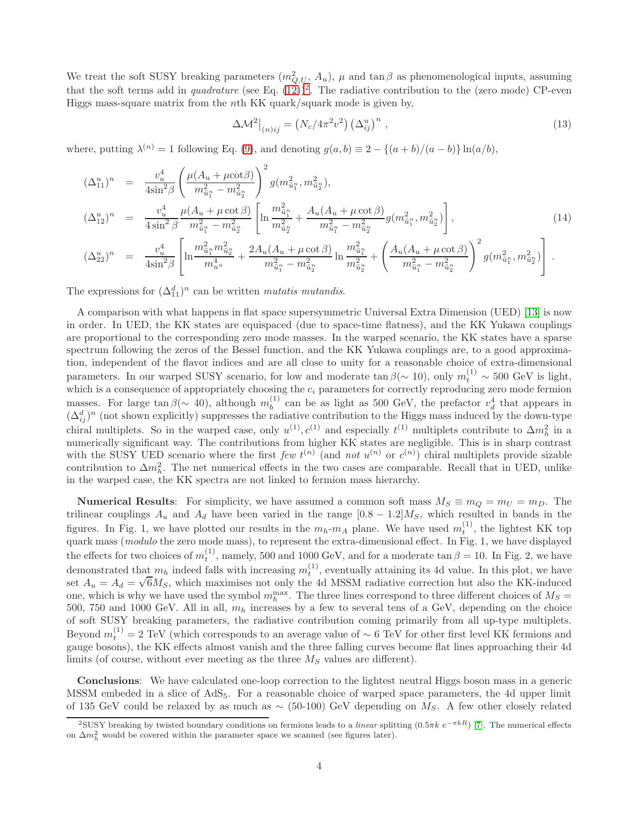We treat the soft SUSY breaking parameters  $(m_{Q,U}^2, A_u)$ ,  $\mu$  and  $\tan \beta$  as phenomenological inputs, assuming that the soft terms add in *quadrature* (see Eq.  $(12)^2$  $(12)^2$  $(12)^2$ ). The radiative contribution to the (zero mode) CP-even Higgs mass-square matrix from the nth KK quark/squark mode is given by,

$$
\Delta \mathcal{M}^2\big|_{(n)ij} = \left(N_c/4\pi^2 v^2\right) \left(\Delta_{ij}^u\right)^n,\tag{13}
$$

where, putting  $\lambda^{(n)} = 1$  following Eq. [\(9\)](#page-2-1), and denoting  $g(a, b) \equiv 2 - \{(a + b)/(a - b)\}\ln(a/b)$ ,

$$
(\Delta_{11}^{u})^{n} = \frac{v_{u}^{4}}{4\sin^{2}\beta} \left(\frac{\mu(A_{u} + \mu \cot \beta)}{m_{\tilde{u}_{1}^{n}}^{2} - m_{\tilde{u}_{2}^{n}}^{2}}\right)^{2} g(m_{\tilde{u}_{1}^{n}}^{2}, m_{\tilde{u}_{2}^{n}}^{2}),
$$
  
\n
$$
(\Delta_{12}^{u})^{n} = \frac{v_{u}^{4}}{4\sin^{2}\beta} \frac{\mu(A_{u} + \mu \cot \beta)}{m_{\tilde{u}_{1}^{n}}^{2} - m_{\tilde{u}_{2}^{n}}^{2}} \left[\ln \frac{m_{\tilde{u}_{1}^{n}}^{2}}{m_{\tilde{u}_{2}^{n}}^{2} + \frac{A_{u}(A_{u} + \mu \cot \beta)}{m_{\tilde{u}_{1}^{n}}^{2} - m_{\tilde{u}_{2}^{n}}^{2}} g(m_{\tilde{u}_{1}^{n}}^{2}, m_{\tilde{u}_{2}^{n}}^{2})\right],
$$
\n(14)

$$
(\Delta_{22}^u)^n = \frac{v_u^4}{4\sin^2\beta} \left[ \ln \frac{m_{\tilde{u}_1}^2 m_{\tilde{u}_2^n}^2}{m_{u^n}^4} + \frac{2A_u(A_u + \mu \cot \beta)}{m_{\tilde{u}_1}^2 - m_{\tilde{u}_2^n}^2} \ln \frac{m_{\tilde{u}_1^n}^2}{m_{\tilde{u}_2^n}^2} + \left( \frac{A_u(A_u + \mu \cot \beta)}{m_{\tilde{u}_1^n}^2 - m_{\tilde{u}_2^n}^2} \right)^2 g(m_{\tilde{u}_1^n}^2, m_{\tilde{u}_2^n}^2) \right].
$$

The expressions for  $(\Delta_{11}^d)^n$  can be written *mutatis mutandis*.

A comparison with what happens in flat space supersymmetric Universal Extra Dimension (UED) [\[13\]](#page-5-11) is now in order. In UED, the KK states are equispaced (due to space-time flatness), and the KK Yukawa couplings are proportional to the corresponding zero mode masses. In the warped scenario, the KK states have a sparse spectrum following the zeros of the Bessel function, and the KK Yukawa couplings are, to a good approximation, independent of the flavor indices and are all close to unity for a reasonable choice of extra-dimensional parameters. In our warped SUSY scenario, for low and moderate  $\tan \beta (\sim 10)$ , only  $m_t^{(1)} \sim 500$  GeV is light, which is a consequence of appropriately choosing the  $c_i$  parameters for correctly reproducing zero mode fermion masses. For large  $\tan \beta (\sim 40)$ , although  $m_b^{(1)}$  $b<sub>b</sub><sup>(1)</sup>$  can be as light as 500 GeV, the prefactor  $v_d^4$  that appears in  $(\Delta_{ij}^d)^n$  (not shown explicitly) suppresses the radiative contribution to the Higgs mass induced by the down-type chiral multiplets. So in the warped case, only  $u^{(1)}$ ,  $c^{(1)}$  and especially  $t^{(1)}$  multiplets contribute to  $\Delta m_h^2$  in a numerically significant way. The contributions from higher KK states are negligible. This is in sharp contrast with the SUSY UED scenario where the first few  $t^{(n)}$  (and not  $u^{(n)}$  or  $c^{(n)}$ ) chiral multiplets provide sizable contribution to  $\Delta m_h^2$ . The net numerical effects in the two cases are comparable. Recall that in UED, unlike in the warped case, the KK spectra are not linked to fermion mass hierarchy.

**Numerical Results:** For simplicity, we have assumed a common soft mass  $M_S \equiv m_Q = m_U = m_D$ . The trilinear couplings  $A_u$  and  $A_d$  have been varied in the range [0.8 – 1.2] $M_s$ , which resulted in bands in the figures. In Fig. 1, we have plotted our results in the  $m_h$ - $m_A$  plane. We have used  $m_t^{(1)}$ , the lightest KK top quark mass (modulo the zero mode mass), to represent the extra-dimensional effect. In Fig. 1, we have displayed the effects for two choices of  $m_t^{(1)}$ , namely, 500 and 1000 GeV, and for a moderate tan  $\beta = 10$ . In Fig. 2, we have demonstrated that  $m_h$  indeed falls with increasing  $m_t^{(1)}$ , eventually attaining its 4d value. In this plot, we have set  $A_u = A_d = \sqrt{6}M_S$ , which maximises not only the 4d MSSM radiative correction but also the KK-induced one, which is why we have used the symbol  $m_h^{\text{max}}$ . The three lines correspond to three different choices of  $M_S =$ 500, 750 and 1000 GeV. All in all,  $m_h$  increases by a few to several tens of a GeV, depending on the choice of soft SUSY breaking parameters, the radiative contribution coming primarily from all up-type multiplets. Beyond  $m_t^{(1)} = 2 \text{ TeV}$  (which corresponds to an average value of ~ 6 TeV for other first level KK fermions and gauge bosons), the KK effects almost vanish and the three falling curves become flat lines approaching their 4d limits (of course, without ever meeting as the three  $M<sub>S</sub>$  values are different).

Conclusions: We have calculated one-loop correction to the lightest neutral Higgs boson mass in a generic MSSM embeded in a slice of AdS5. For a reasonable choice of warped space parameters, the 4d upper limit of 135 GeV could be relaxed by as much as  $\sim$  (50-100) GeV depending on M<sub>S</sub>. A few other closely related

<span id="page-3-0"></span><sup>&</sup>lt;sup>2</sup>SUSY breaking by twisted boundary conditions on fermions leads to a *linear* splitting  $(0.5\pi k \ e^{-\pi kR})$  [\[7\]](#page-5-5). The numerical effects on  $\Delta m_h^2$  would be covered within the parameter space we scanned (see figures later).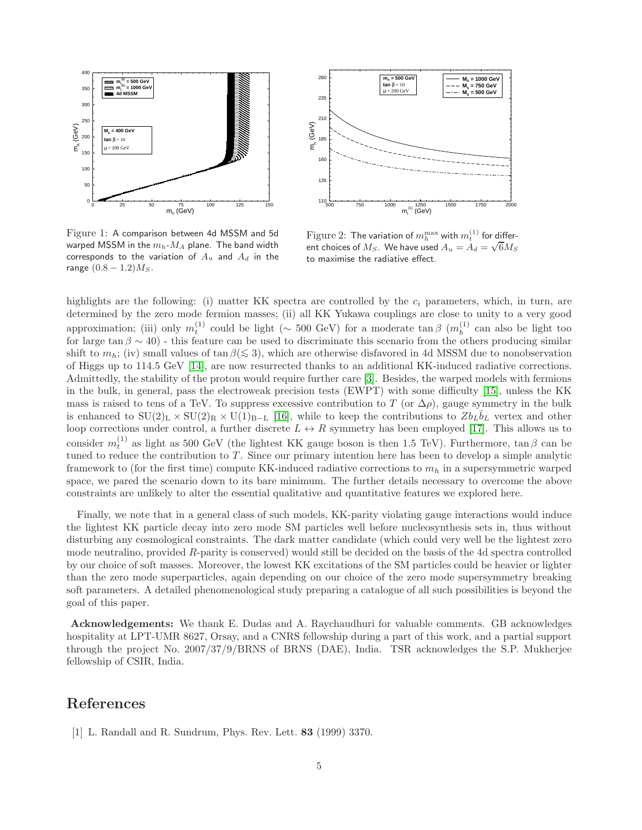

Figure 1: A comparison between 4d MSSM and 5d warped MSSM in the  $m_h$ - $M_A$  plane. The band width corresponds to the variation of  $A_u$  and  $A_d$  in the range  $(0.8 - 1.2)M<sub>S</sub>$ .



 $\operatorname{Figure 2:}$  The variation of  $m_h^{\max}$  with  $m_t^{(1)}$  for different choices of  $M_S$ . We have used  $A_u = A_d = \sqrt{6}M_S$ to maximise the radiative effect.

highlights are the following: (i) matter KK spectra are controlled by the  $c_i$  parameters, which, in turn, are determined by the zero mode fermion masses; (ii) all KK Yukawa couplings are close to unity to a very good approximation; (iii) only  $m_t^{(1)}$  could be light (∼ 500 GeV) for a moderate tan  $\beta$  ( $m_b^{(1)}$ )  $b^{(1)}$  can also be light too for large tan  $\beta \sim 40$ ) - this feature can be used to discriminate this scenario from the others producing similar shift to  $m_h$ ; (iv) small values of tan  $\beta (\leq 3)$ , which are otherwise disfavored in 4d MSSM due to nonobservation of Higgs up to 114.5 GeV [\[14\]](#page-5-12), are now resurrected thanks to an additional KK-induced radiative corrections. Admittedly, the stability of the proton would require further care [\[3\]](#page-5-1). Besides, the warped models with fermions in the bulk, in general, pass the electroweak precision tests (EWPT) with some difficulty [\[15\]](#page-5-13), unless the KK mass is raised to tens of a TeV. To suppress excessive contribution to T (or  $\Delta \rho$ ), gauge symmetry in the bulk is enhanced to  $SU(2)_L \times SU(2)_R \times U(1)_{B-L}$  [\[16\]](#page-5-14), while to keep the contributions to  $Zb_L\overline{b}_L$  vertex and other loop corrections under control, a further discrete  $L \leftrightarrow R$  symmetry has been employed [\[17\]](#page-5-15). This allows us to consider  $m_t^{(1)}$  as light as 500 GeV (the lightest KK gauge boson is then 1.5 TeV). Furthermore, tan  $\beta$  can be tuned to reduce the contribution to  $T$ . Since our primary intention here has been to develop a simple analytic framework to (for the first time) compute KK-induced radiative corrections to  $m_h$  in a supersymmetric warped space, we pared the scenario down to its bare minimum. The further details necessary to overcome the above constraints are unlikely to alter the essential qualitative and quantitative features we explored here.

Finally, we note that in a general class of such models, KK-parity violating gauge interactions would induce the lightest KK particle decay into zero mode SM particles well before nucleosynthesis sets in, thus without disturbing any cosmological constraints. The dark matter candidate (which could very well be the lightest zero mode neutralino, provided  $R$ -parity is conserved) would still be decided on the basis of the 4d spectra controlled by our choice of soft masses. Moreover, the lowest KK excitations of the SM particles could be heavier or lighter than the zero mode superparticles, again depending on our choice of the zero mode supersymmetry breaking soft parameters. A detailed phenomenological study preparing a catalogue of all such possibilities is beyond the goal of this paper.

Acknowledgements: We thank E. Dudas and A. Raychaudhuri for valuable comments. GB acknowledges hospitality at LPT-UMR 8627, Orsay, and a CNRS fellowship during a part of this work, and a partial support through the project No. 2007/37/9/BRNS of BRNS (DAE), India. TSR acknowledges the S.P. Mukherjee fellowship of CSIR, India.

## <span id="page-4-0"></span>References

[1] L. Randall and R. Sundrum, Phys. Rev. Lett. 83 (1999) 3370.